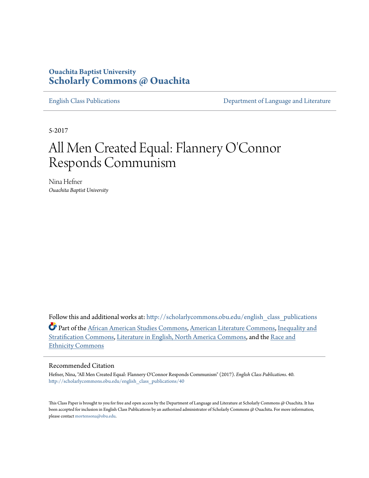# **Ouachita Baptist University [Scholarly Commons @ Ouachita](http://scholarlycommons.obu.edu?utm_source=scholarlycommons.obu.edu%2Fenglish_class_publications%2F40&utm_medium=PDF&utm_campaign=PDFCoverPages)**

[English Class Publications](http://scholarlycommons.obu.edu/english_class_publications?utm_source=scholarlycommons.obu.edu%2Fenglish_class_publications%2F40&utm_medium=PDF&utm_campaign=PDFCoverPages) **[Department of Language and Literature](http://scholarlycommons.obu.edu/english?utm_source=scholarlycommons.obu.edu%2Fenglish_class_publications%2F40&utm_medium=PDF&utm_campaign=PDFCoverPages)** 

5-2017

# All Men Created Equal: Flannery O'Connor Responds Communism

Nina Hefner *Ouachita Baptist University*

Follow this and additional works at: [http://scholarlycommons.obu.edu/english\\_class\\_publications](http://scholarlycommons.obu.edu/english_class_publications?utm_source=scholarlycommons.obu.edu%2Fenglish_class_publications%2F40&utm_medium=PDF&utm_campaign=PDFCoverPages) Part of the [African American Studies Commons,](http://network.bepress.com/hgg/discipline/567?utm_source=scholarlycommons.obu.edu%2Fenglish_class_publications%2F40&utm_medium=PDF&utm_campaign=PDFCoverPages) [American Literature Commons](http://network.bepress.com/hgg/discipline/441?utm_source=scholarlycommons.obu.edu%2Fenglish_class_publications%2F40&utm_medium=PDF&utm_campaign=PDFCoverPages), [Inequality and](http://network.bepress.com/hgg/discipline/421?utm_source=scholarlycommons.obu.edu%2Fenglish_class_publications%2F40&utm_medium=PDF&utm_campaign=PDFCoverPages) [Stratification Commons](http://network.bepress.com/hgg/discipline/421?utm_source=scholarlycommons.obu.edu%2Fenglish_class_publications%2F40&utm_medium=PDF&utm_campaign=PDFCoverPages), [Literature in English, North America Commons](http://network.bepress.com/hgg/discipline/458?utm_source=scholarlycommons.obu.edu%2Fenglish_class_publications%2F40&utm_medium=PDF&utm_campaign=PDFCoverPages), and the [Race and](http://network.bepress.com/hgg/discipline/426?utm_source=scholarlycommons.obu.edu%2Fenglish_class_publications%2F40&utm_medium=PDF&utm_campaign=PDFCoverPages) [Ethnicity Commons](http://network.bepress.com/hgg/discipline/426?utm_source=scholarlycommons.obu.edu%2Fenglish_class_publications%2F40&utm_medium=PDF&utm_campaign=PDFCoverPages)

#### Recommended Citation

Hefner, Nina, "All Men Created Equal: Flannery O'Connor Responds Communism" (2017). *English Class Publications*. 40. [http://scholarlycommons.obu.edu/english\\_class\\_publications/40](http://scholarlycommons.obu.edu/english_class_publications/40?utm_source=scholarlycommons.obu.edu%2Fenglish_class_publications%2F40&utm_medium=PDF&utm_campaign=PDFCoverPages)

This Class Paper is brought to you for free and open access by the Department of Language and Literature at Scholarly Commons @ Ouachita. It has been accepted for inclusion in English Class Publications by an authorized administrator of Scholarly Commons @ Ouachita. For more information, please contact [mortensona@obu.edu.](mailto:mortensona@obu.edu)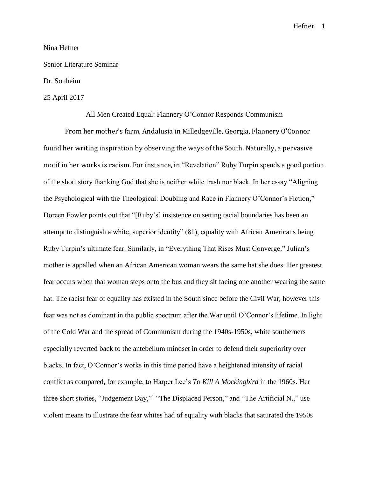### Nina Hefner

## Senior Literature Seminar

# Dr. Sonheim

# 25 April 2017

#### All Men Created Equal: Flannery O'Connor Responds Communism

From her mother's farm, Andalusia in Milledgeville, Georgia, Flannery O'Connor found her writing inspiration by observing the ways of the South. Naturally, a pervasive motif in her works is racism. For instance, in "Revelation" Ruby Turpin spends a good portion of the short story thanking God that she is neither white trash nor black. In her essay "Aligning the Psychological with the Theological: Doubling and Race in Flannery O'Connor's Fiction," Doreen Fowler points out that "[Ruby's] insistence on setting racial boundaries has been an attempt to distinguish a white, superior identity" (81), equality with African Americans being Ruby Turpin's ultimate fear. Similarly, in "Everything That Rises Must Converge," Julian's mother is appalled when an African American woman wears the same hat she does. Her greatest fear occurs when that woman steps onto the bus and they sit facing one another wearing the same hat. The racist fear of equality has existed in the South since before the Civil War, however this fear was not as dominant in the public spectrum after the War until O'Connor's lifetime. In light of the Cold War and the spread of Communism during the 1940s-1950s, white southerners especially reverted back to the antebellum mindset in order to defend their superiority over blacks. In fact, O'Connor's works in this time period have a heightened intensity of racial conflict as compared, for example, to Harper Lee's *To Kill A Mockingbird* in the 1960s. Her three short stories, "Judgement Day,"<sup>1</sup> "The Displaced Person," and "The Artificial N.," use violent means to illustrate the fear whites had of equality with blacks that saturated the 1950s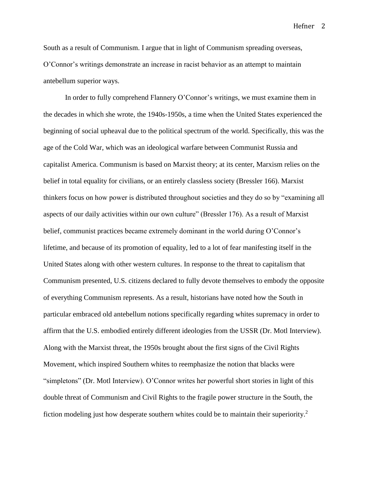South as a result of Communism. I argue that in light of Communism spreading overseas, O'Connor's writings demonstrate an increase in racist behavior as an attempt to maintain antebellum superior ways.

In order to fully comprehend Flannery O'Connor's writings, we must examine them in the decades in which she wrote, the 1940s-1950s, a time when the United States experienced the beginning of social upheaval due to the political spectrum of the world. Specifically, this was the age of the Cold War, which was an ideological warfare between Communist Russia and capitalist America. Communism is based on Marxist theory; at its center, Marxism relies on the belief in total equality for civilians, or an entirely classless society (Bressler 166). Marxist thinkers focus on how power is distributed throughout societies and they do so by "examining all aspects of our daily activities within our own culture" (Bressler 176). As a result of Marxist belief, communist practices became extremely dominant in the world during O'Connor's lifetime, and because of its promotion of equality, led to a lot of fear manifesting itself in the United States along with other western cultures. In response to the threat to capitalism that Communism presented, U.S. citizens declared to fully devote themselves to embody the opposite of everything Communism represents. As a result, historians have noted how the South in particular embraced old antebellum notions specifically regarding whites supremacy in order to affirm that the U.S. embodied entirely different ideologies from the USSR (Dr. Motl Interview). Along with the Marxist threat, the 1950s brought about the first signs of the Civil Rights Movement, which inspired Southern whites to reemphasize the notion that blacks were "simpletons" (Dr. Motl Interview). O'Connor writes her powerful short stories in light of this double threat of Communism and Civil Rights to the fragile power structure in the South, the fiction modeling just how desperate southern whites could be to maintain their superiority.<sup>2</sup>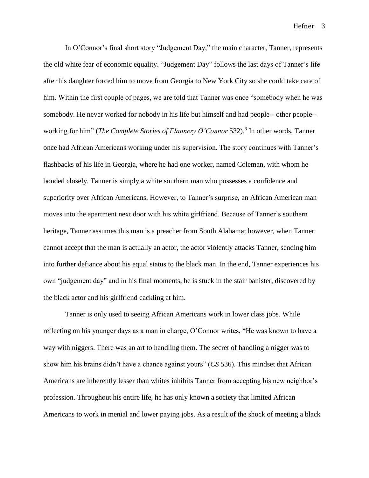In O'Connor's final short story "Judgement Day," the main character, Tanner, represents the old white fear of economic equality. "Judgement Day" follows the last days of Tanner's life after his daughter forced him to move from Georgia to New York City so she could take care of him. Within the first couple of pages, we are told that Tanner was once "somebody when he was somebody. He never worked for nobody in his life but himself and had people-- other people- working for him" (*The Complete Stories of Flannery O'Connor* 532).<sup>3</sup> In other words, Tanner once had African Americans working under his supervision. The story continues with Tanner's flashbacks of his life in Georgia, where he had one worker, named Coleman, with whom he bonded closely. Tanner is simply a white southern man who possesses a confidence and superiority over African Americans. However, to Tanner's surprise, an African American man moves into the apartment next door with his white girlfriend. Because of Tanner's southern heritage, Tanner assumes this man is a preacher from South Alabama; however, when Tanner cannot accept that the man is actually an actor, the actor violently attacks Tanner, sending him into further defiance about his equal status to the black man. In the end, Tanner experiences his own "judgement day" and in his final moments, he is stuck in the stair banister, discovered by the black actor and his girlfriend cackling at him.

Tanner is only used to seeing African Americans work in lower class jobs. While reflecting on his younger days as a man in charge, O'Connor writes, "He was known to have a way with niggers. There was an art to handling them. The secret of handling a nigger was to show him his brains didn't have a chance against yours" (*CS* 536). This mindset that African Americans are inherently lesser than whites inhibits Tanner from accepting his new neighbor's profession. Throughout his entire life, he has only known a society that limited African Americans to work in menial and lower paying jobs. As a result of the shock of meeting a black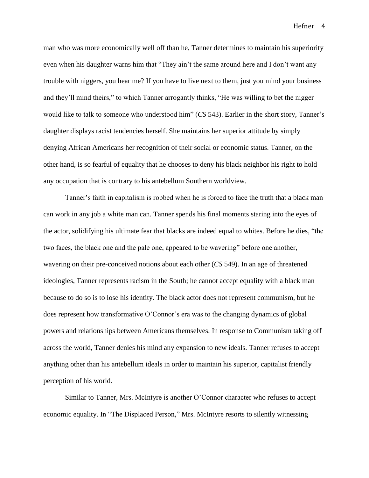man who was more economically well off than he, Tanner determines to maintain his superiority even when his daughter warns him that "They ain't the same around here and I don't want any trouble with niggers, you hear me? If you have to live next to them, just you mind your business and they'll mind theirs," to which Tanner arrogantly thinks, "He was willing to bet the nigger would like to talk to someone who understood him" (*CS* 543). Earlier in the short story, Tanner's daughter displays racist tendencies herself. She maintains her superior attitude by simply denying African Americans her recognition of their social or economic status. Tanner, on the other hand, is so fearful of equality that he chooses to deny his black neighbor his right to hold any occupation that is contrary to his antebellum Southern worldview.

Tanner's faith in capitalism is robbed when he is forced to face the truth that a black man can work in any job a white man can. Tanner spends his final moments staring into the eyes of the actor, solidifying his ultimate fear that blacks are indeed equal to whites. Before he dies, "the two faces, the black one and the pale one, appeared to be wavering" before one another, wavering on their pre-conceived notions about each other (*CS* 549). In an age of threatened ideologies, Tanner represents racism in the South; he cannot accept equality with a black man because to do so is to lose his identity. The black actor does not represent communism, but he does represent how transformative O'Connor's era was to the changing dynamics of global powers and relationships between Americans themselves. In response to Communism taking off across the world, Tanner denies his mind any expansion to new ideals. Tanner refuses to accept anything other than his antebellum ideals in order to maintain his superior, capitalist friendly perception of his world.

Similar to Tanner, Mrs. McIntyre is another O'Connor character who refuses to accept economic equality. In "The Displaced Person," Mrs. McIntyre resorts to silently witnessing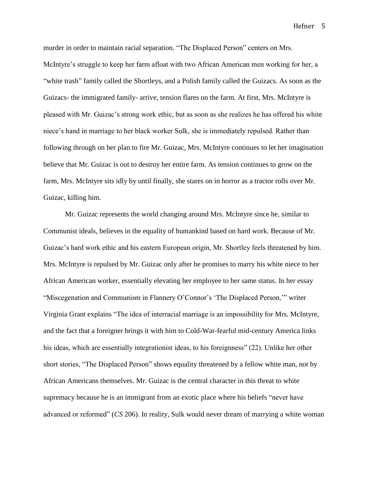murder in order to maintain racial separation. "The Displaced Person" centers on Mrs. McIntyre's struggle to keep her farm afloat with two African American men working for her, a "white trash" family called the Shortleys, and a Polish family called the Guizacs. As soon as the Guizacs- the immigrated family- arrive, tension flares on the farm. At first, Mrs. McIntyre is pleased with Mr. Guizac's strong work ethic, but as soon as she realizes he has offered his white niece's hand in marriage to her black worker Sulk, she is immediately repulsed. Rather than following through on her plan to fire Mr. Guizac, Mrs. McIntyre continues to let her imagination believe that Mr. Guizac is out to destroy her entire farm. As tension continues to grow on the farm, Mrs. McIntyre sits idly by until finally, she stares on in horror as a tractor rolls over Mr. Guizac, killing him.

Mr. Guizac represents the world changing around Mrs. McIntyre since he, similar to Communist ideals, believes in the equality of humankind based on hard work. Because of Mr. Guizac's hard work ethic and his eastern European origin, Mr. Shortley feels threatened by him. Mrs. McIntyre is repulsed by Mr. Guizac only after he promises to marry his white niece to her African American worker, essentially elevating her employee to her same status. In her essay "Miscegenation and Communism in Flannery O'Connor's 'The Displaced Person,'" writer Virginia Grant explains "The idea of interracial marriage is an impossibility for Mrs. McIntyre, and the fact that a foreigner brings it with him to Cold-War-fearful mid-century America links his ideas, which are essentially integrationist ideas, to his foreignness" (22). Unlike her other short stories, "The Displaced Person" shows equality threatened by a fellow white man, not by African Americans themselves. Mr. Guizac is the central character in this threat to white supremacy because he is an immigrant from an exotic place where his beliefs "never have advanced or reformed" (*CS* 206). In reality, Sulk would never dream of marrying a white woman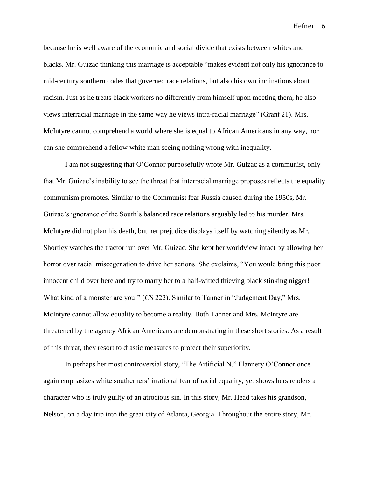because he is well aware of the economic and social divide that exists between whites and blacks. Mr. Guizac thinking this marriage is acceptable "makes evident not only his ignorance to mid-century southern codes that governed race relations, but also his own inclinations about racism. Just as he treats black workers no differently from himself upon meeting them, he also views interracial marriage in the same way he views intra-racial marriage" (Grant 21). Mrs. McIntyre cannot comprehend a world where she is equal to African Americans in any way, nor can she comprehend a fellow white man seeing nothing wrong with inequality.

I am not suggesting that O'Connor purposefully wrote Mr. Guizac as a communist, only that Mr. Guizac's inability to see the threat that interracial marriage proposes reflects the equality communism promotes. Similar to the Communist fear Russia caused during the 1950s, Mr. Guizac's ignorance of the South's balanced race relations arguably led to his murder. Mrs. McIntyre did not plan his death, but her prejudice displays itself by watching silently as Mr. Shortley watches the tractor run over Mr. Guizac. She kept her worldview intact by allowing her horror over racial miscegenation to drive her actions. She exclaims, "You would bring this poor innocent child over here and try to marry her to a half-witted thieving black stinking nigger! What kind of a monster are you!" (*CS* 222). Similar to Tanner in "Judgement Day," Mrs. McIntyre cannot allow equality to become a reality. Both Tanner and Mrs. McIntyre are threatened by the agency African Americans are demonstrating in these short stories. As a result of this threat, they resort to drastic measures to protect their superiority.

In perhaps her most controversial story, "The Artificial N." Flannery O'Connor once again emphasizes white southerners' irrational fear of racial equality, yet shows hers readers a character who is truly guilty of an atrocious sin. In this story, Mr. Head takes his grandson, Nelson, on a day trip into the great city of Atlanta, Georgia. Throughout the entire story, Mr.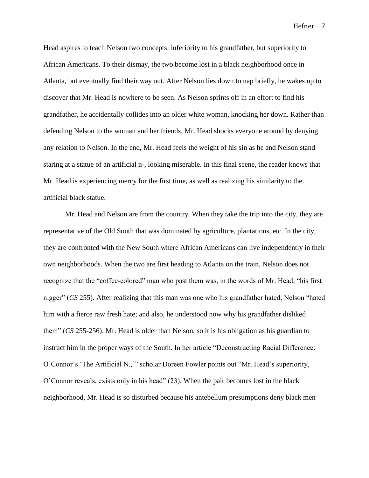Head aspires to teach Nelson two concepts: inferiority to his grandfather, but superiority to African Americans. To their dismay, the two become lost in a black neighborhood once in Atlanta, but eventually find their way out. After Nelson lies down to nap briefly, he wakes up to discover that Mr. Head is nowhere to be seen. As Nelson sprints off in an effort to find his grandfather, he accidentally collides into an older white woman, knocking her down. Rather than defending Nelson to the woman and her friends, Mr. Head shocks everyone around by denying any relation to Nelson. In the end, Mr. Head feels the weight of his sin as he and Nelson stand staring at a statue of an artificial n-, looking miserable. In this final scene, the reader knows that Mr. Head is experiencing mercy for the first time, as well as realizing his similarity to the artificial black statue.

Mr. Head and Nelson are from the country. When they take the trip into the city, they are representative of the Old South that was dominated by agriculture, plantations, etc. In the city, they are confronted with the New South where African Americans can live independently in their own neighborhoods. When the two are first heading to Atlanta on the train, Nelson does not recognize that the "coffee-colored" man who past them was, in the words of Mr. Head, "his first nigger" (*CS* 255). After realizing that this man was one who his grandfather hated, Nelson "hated him with a fierce raw fresh hate; and also, he understood now why his grandfather disliked them" (*CS* 255-256). Mr. Head is older than Nelson, so it is his obligation as his guardian to instruct him in the proper ways of the South. In her article "Deconstructing Racial Difference: O'Connor's 'The Artificial N.,'" scholar Doreen Fowler points out "Mr. Head's superiority, O'Connor reveals, exists only in his head" (23). When the pair becomes lost in the black neighborhood, Mr. Head is so disturbed because his antebellum presumptions deny black men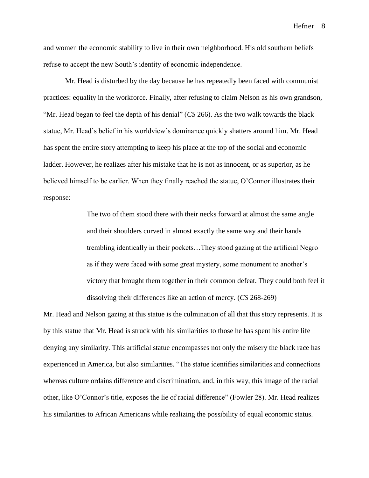and women the economic stability to live in their own neighborhood. His old southern beliefs refuse to accept the new South's identity of economic independence.

Mr. Head is disturbed by the day because he has repeatedly been faced with communist practices: equality in the workforce. Finally, after refusing to claim Nelson as his own grandson, "Mr. Head began to feel the depth of his denial" (*CS* 266). As the two walk towards the black statue, Mr. Head's belief in his worldview's dominance quickly shatters around him. Mr. Head has spent the entire story attempting to keep his place at the top of the social and economic ladder. However, he realizes after his mistake that he is not as innocent, or as superior, as he believed himself to be earlier. When they finally reached the statue, O'Connor illustrates their response:

> The two of them stood there with their necks forward at almost the same angle and their shoulders curved in almost exactly the same way and their hands trembling identically in their pockets…They stood gazing at the artificial Negro as if they were faced with some great mystery, some monument to another's victory that brought them together in their common defeat. They could both feel it dissolving their differences like an action of mercy. (*CS* 268-269)

Mr. Head and Nelson gazing at this statue is the culmination of all that this story represents. It is by this statue that Mr. Head is struck with his similarities to those he has spent his entire life denying any similarity. This artificial statue encompasses not only the misery the black race has experienced in America, but also similarities. "The statue identifies similarities and connections whereas culture ordains difference and discrimination, and, in this way, this image of the racial other, like O'Connor's title, exposes the lie of racial difference" (Fowler 28). Mr. Head realizes his similarities to African Americans while realizing the possibility of equal economic status.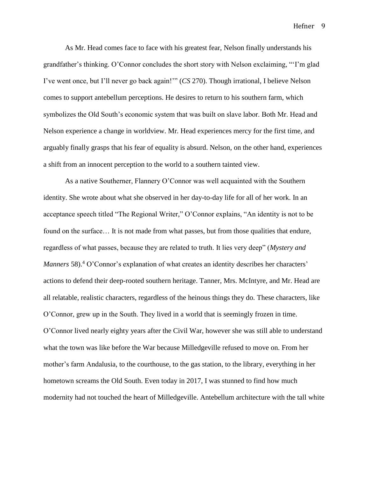As Mr. Head comes face to face with his greatest fear, Nelson finally understands his grandfather's thinking. O'Connor concludes the short story with Nelson exclaiming, "'I'm glad I've went once, but I'll never go back again!'" (*CS* 270). Though irrational, I believe Nelson comes to support antebellum perceptions. He desires to return to his southern farm, which symbolizes the Old South's economic system that was built on slave labor. Both Mr. Head and Nelson experience a change in worldview. Mr. Head experiences mercy for the first time, and arguably finally grasps that his fear of equality is absurd. Nelson, on the other hand, experiences a shift from an innocent perception to the world to a southern tainted view.

As a native Southerner, Flannery O'Connor was well acquainted with the Southern identity. She wrote about what she observed in her day-to-day life for all of her work. In an acceptance speech titled "The Regional Writer," O'Connor explains, "An identity is not to be found on the surface... It is not made from what passes, but from those qualities that endure, regardless of what passes, because they are related to truth. It lies very deep" (*Mystery and Manners* 58).<sup>4</sup> O'Connor's explanation of what creates an identity describes her characters' actions to defend their deep-rooted southern heritage. Tanner, Mrs. McIntyre, and Mr. Head are all relatable, realistic characters, regardless of the heinous things they do. These characters, like O'Connor, grew up in the South. They lived in a world that is seemingly frozen in time. O'Connor lived nearly eighty years after the Civil War, however she was still able to understand what the town was like before the War because Milledgeville refused to move on. From her mother's farm Andalusia, to the courthouse, to the gas station, to the library, everything in her hometown screams the Old South. Even today in 2017, I was stunned to find how much modernity had not touched the heart of Milledgeville. Antebellum architecture with the tall white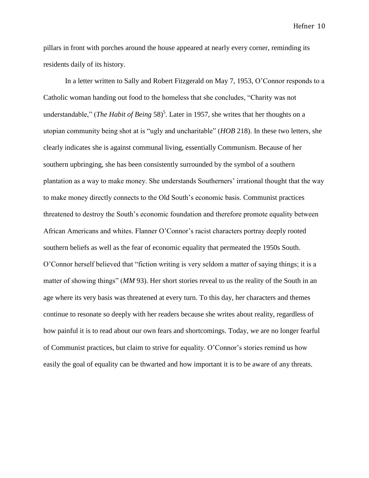pillars in front with porches around the house appeared at nearly every corner, reminding its residents daily of its history.

In a letter written to Sally and Robert Fitzgerald on May 7, 1953, O'Connor responds to a Catholic woman handing out food to the homeless that she concludes, "Charity was not understandable," (*The Habit of Being* 58)<sup>5</sup>. Later in 1957, she writes that her thoughts on a utopian community being shot at is "ugly and uncharitable" (*HOB* 218). In these two letters, she clearly indicates she is against communal living, essentially Communism. Because of her southern upbringing, she has been consistently surrounded by the symbol of a southern plantation as a way to make money. She understands Southerners' irrational thought that the way to make money directly connects to the Old South's economic basis. Communist practices threatened to destroy the South's economic foundation and therefore promote equality between African Americans and whites. Flanner O'Connor's racist characters portray deeply rooted southern beliefs as well as the fear of economic equality that permeated the 1950s South. O'Connor herself believed that "fiction writing is very seldom a matter of saying things; it is a matter of showing things" (*MM* 93). Her short stories reveal to us the reality of the South in an age where its very basis was threatened at every turn. To this day, her characters and themes continue to resonate so deeply with her readers because she writes about reality, regardless of how painful it is to read about our own fears and shortcomings. Today, we are no longer fearful of Communist practices, but claim to strive for equality. O'Connor's stories remind us how easily the goal of equality can be thwarted and how important it is to be aware of any threats.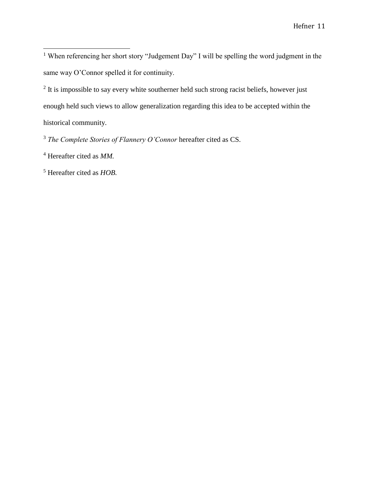<sup>1</sup> When referencing her short story "Judgement Day" I will be spelling the word judgment in the same way O'Connor spelled it for continuity.

 $2$  It is impossible to say every white southerner held such strong racist beliefs, however just enough held such views to allow generalization regarding this idea to be accepted within the historical community.

<sup>3</sup> *The Complete Stories of Flannery O'Connor* hereafter cited as CS.

 $\overline{a}$ 

<sup>5</sup> Hereafter cited as *HOB.* 

<sup>4</sup> Hereafter cited as *MM.*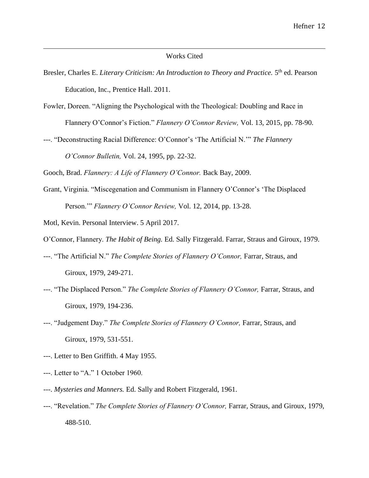#### Works Cited

- Bresler, Charles E. *Literary Criticism: An Introduction to Theory and Practice*. 5<sup>th</sup> ed. Pearson Education, Inc., Prentice Hall. 2011.
- Fowler, Doreen. "Aligning the Psychological with the Theological: Doubling and Race in Flannery O'Connor's Fiction." *Flannery O'Connor Review,* Vol. 13, 2015, pp. 78-90.
- ---. "Deconstructing Racial Difference: O'Connor's 'The Artificial N.'" *The Flannery O'Connor Bulletin,* Vol. 24, 1995, pp. 22-32.

Gooch, Brad. *Flannery: A Life of Flannery O'Connor.* Back Bay, 2009.

Grant, Virginia. "Miscegenation and Communism in Flannery O'Connor's 'The Displaced Person.'" *Flannery O'Connor Review,* Vol. 12, 2014, pp. 13-28.

Motl, Kevin. Personal Interview. 5 April 2017.

 $\overline{a}$ 

O'Connor, Flannery. *The Habit of Being.* Ed. Sally Fitzgerald. Farrar, Straus and Giroux, 1979.

- ---. "The Artificial N." *The Complete Stories of Flannery O'Connor,* Farrar, Straus, and Giroux, 1979, 249-271.
- ---. "The Displaced Person." *The Complete Stories of Flannery O'Connor,* Farrar, Straus, and Giroux, 1979, 194-236.
- ---. "Judgement Day." *The Complete Stories of Flannery O'Connor,* Farrar, Straus, and Giroux, 1979, 531-551.
- ---. Letter to Ben Griffith. 4 May 1955.
- ---. Letter to "A." 1 October 1960.
- ---. *Mysteries and Manners.* Ed. Sally and Robert Fitzgerald, 1961.
- ---. "Revelation." *The Complete Stories of Flannery O'Connor,* Farrar, Straus, and Giroux, 1979, 488-510.